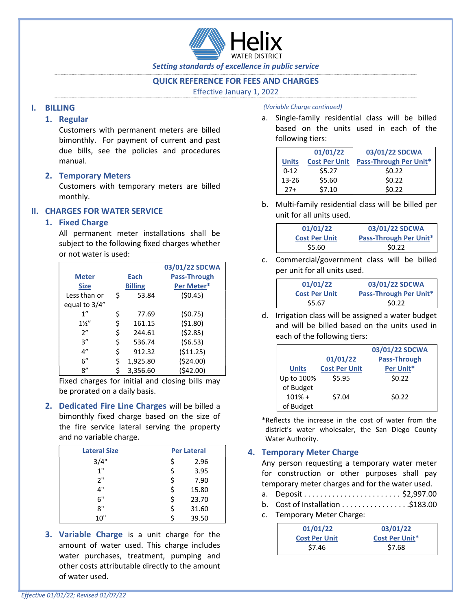

Setting standards of excellence in public service

## QUICK REFERENCE FOR FEES AND CHARGES

Effective January 1, 2022

## I. BILLING

## 1. Regular

Customers with permanent meters are billed bimonthly. For payment of current and past due bills, see the policies and procedures manual.

## 2. Temporary Meters

Customers with temporary meters are billed monthly.

# II. CHARGES FOR WATER SERVICE

# 1. Fixed Charge

All permanent meter installations shall be subject to the following fixed charges whether or not water is used:

|                 |                |          | 03/01/22 SDCWA      |  |
|-----------------|----------------|----------|---------------------|--|
| <b>Meter</b>    |                | Each     | <b>Pass-Through</b> |  |
| <b>Size</b>     | <b>Billing</b> |          | Per Meter*          |  |
| Less than or    | \$             | 53.84    | (50.45)             |  |
| equal to $3/4"$ |                |          |                     |  |
| 1"              | \$             | 77.69    | (50.75)             |  |
| $1\frac{1}{2}$  | \$             | 161.15   | (51.80)             |  |
| 2"              | \$             | 244.61   | (52.85)             |  |
| 3''             | \$             | 536.74   | (56.53)             |  |
| 4"              | \$             | 912.32   | (511.25)            |  |
| 6''             | \$             | 1,925.80 | ( \$24.00)          |  |
| ጸ"              | \$             | 3,356.60 | (\$42.00)           |  |

Fixed charges for initial and closing bills may be prorated on a daily basis.

2. Dedicated Fire Line Charges will be billed a bimonthly fixed charge based on the size of the fire service lateral serving the property and no variable charge.

| <b>Lateral Size</b> | <b>Per Lateral</b> |  |  |
|---------------------|--------------------|--|--|
| 3/4"                | \$<br>2.96         |  |  |
| 1"                  | \$<br>3.95         |  |  |
| ን"                  | \$<br>7.90         |  |  |
| 4"                  | \$<br>15.80        |  |  |
| 6"                  | \$<br>23.70        |  |  |
| ጸ"                  | \$<br>31.60        |  |  |
| 10"                 | 39.50              |  |  |

**3. Variable Charge** is a unit charge for the amount of water used. This charge includes water purchases, treatment, pumping and other costs attributable directly to the amount of water used.

#### (Variable Charge continued)

a. Single-family residential class will be billed based on the units used in each of the following tiers:

|              | 01/01/22             | 03/01/22 SDCWA         |
|--------------|----------------------|------------------------|
| <b>Units</b> | <b>Cost Per Unit</b> | Pass-Through Per Unit* |
| $0 - 12$     | \$5.27               | \$0.22                 |
| $13 - 26$    | \$5.60               | \$0.22                 |
| $27+$        | \$7.10               | \$0.22                 |

b. Multi-family residential class will be billed per unit for all units used.

| 01/01/22             | 03/01/22 SDCWA         |
|----------------------|------------------------|
| <b>Cost Per Unit</b> | Pass-Through Per Unit* |
| \$5.60               | \$0.22                 |

c. Commercial/government class will be billed per unit for all units used.

| 01/01/22             | 03/01/22 SDCWA         |
|----------------------|------------------------|
| <b>Cost Per Unit</b> | Pass-Through Per Unit* |
| \$5.67               | \$0.22                 |

d. Irrigation class will be assigned a water budget and will be billed based on the units used in each of the following tiers:

|              |                      | 03/01/22 SDCWA      |
|--------------|----------------------|---------------------|
|              | 01/01/22             | <b>Pass-Through</b> |
| <b>Units</b> | <b>Cost Per Unit</b> | Per Unit*           |
| Up to 100%   | \$5.95               | \$0.22              |
| of Budget    |                      |                     |
| $101\% +$    | \$7.04               | \$0.22              |
| of Budget    |                      |                     |

\*Reflects the increase in the cost of water from the district's water wholesaler, the San Diego County Water Authority.

### 4. Temporary Meter Charge

Any person requesting a temporary water meter for construction or other purposes shall pay temporary meter charges and for the water used.

- a. Deposit . . . . . . . . . . . . . . . . . . . . . . . . \$2,997.00
- b. Cost of Installation . . . . . . . . . . . . . . . . .\$183.00
- c. Temporary Meter Charge:

| 01/01/22             | 03/01/22              |
|----------------------|-----------------------|
| <b>Cost Per Unit</b> | <b>Cost Per Unit*</b> |
| \$7.46               | \$7.68                |